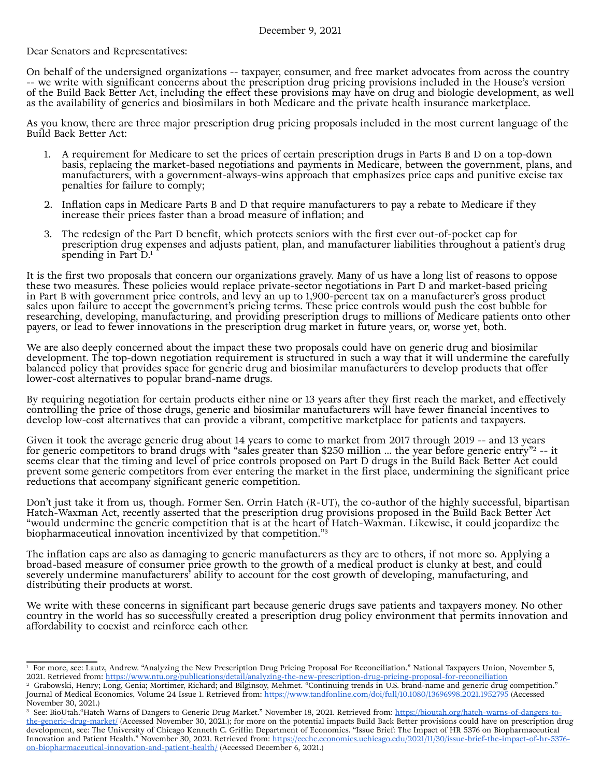Dear Senators and Representatives:

On behalf of the undersigned organizations -- taxpayer, consumer, and free market advocates from across the country -- we write with significant concerns about the prescription drug pricing provisions included in the House's version of the Build Back Better Act, including the effect these provisions may have on drug and biologic development, as well as the availability of generics and biosimilars in both Medicare and the private health insurance marketplace.

As you know, there are three major prescription drug pricing proposals included in the most current language of the Build Back Better Act:

- 1. A requirement for Medicare to set the prices of certain prescription drugs in Parts B and D on a top-down basis, replacing the market-based negotiations and payments in Medicare, between the government, plans, and manufacturers, with a government-always-wins approach that emphasizes price caps and punitive excise tax penalties for failure to comply;
- 2. Inflation caps in Medicare Parts B and D that require manufacturers to pay a rebate to Medicare if they increase their prices faster than a broad measure of inflation; and
- 3. The redesign of the Part D benefit, which protects seniors with the first ever out-of-pocket cap for prescription drug expenses and adjusts patient, plan, and manufacturer liabilities throughout a patient's drug spending in Part  $D<sup>1</sup>$

It is the first two proposals that concern our organizations gravely. Many of us have a long list of reasons to oppose these two measures. These policies would replace private-sector negotiations in Part D and market-based pricing in Part B with government price controls, and levy an up to 1,900-percent tax on a manufacturer's gross product sales upon failure to accept the government's pricing terms. These price controls would push the cost bubble for researching, developing, manufacturing, and providing prescription drugs to millions of Medicare patients onto other payers, or lead to fewer innovations in the prescription drug market in future years, or, worse yet, both.

We are also deeply concerned about the impact these two proposals could have on generic drug and biosimilar development. The top-down negotiation requirement is structured in such a way that it will undermine the carefully balanced policy that provides space for generic drug and biosimilar manufacturers to develop products that offer lower-cost alternatives to popular brand-name drugs.

By requiring negotiation for certain products either nine or 13 years after they first reach the market, and effectively controlling the price of those drugs, generic and biosimilar manufacturers will have fewer financial incentives to develop low-cost alternatives that can provide a vibrant, competitive marketplace for patients and taxpayers.

Given it took the average generic drug about 14 years to come to market from 2017 through 2019 -- and 13 years for generic competitors to brand drugs with "sales greater than \$250 million ... the year before generic entry"<sup>2</sup> -- it seems clear that the timing and level of price controls proposed on Part D drugs in the Build Back Better Act could prevent some generic competitors from ever entering the market in the first place, undermining the significant price reductions that accompany significant generic competition.

Don't just take it from us, though. Former Sen. Orrin Hatch (R-UT), the co-author of the highly successful, bipartisan Hatch-Waxman Act, recently asserted that the prescription drug provisions proposed in the Build Back Better Act "would undermine the generic competition that is at the heart of Hatch-Waxman. Likewise, it could jeopardize the biopharmaceutical innovation incentivized by that competition."3

The inflation caps are also as damaging to generic manufacturers as they are to others, if not more so. Applying a broad-based measure of consumer price growth to the growth of a medical product is clunky at best, and could severely undermine manufacturers' ability to account for the cost growth of developing, manufacturing, and distributing their products at worst.

We write with these concerns in significant part because generic drugs save patients and taxpayers money. No other country in the world has so successfully created a prescription drug policy environment that permits innovation and affordability to coexist and reinforce each other.

<sup>1</sup> For more, see: Lautz, Andrew. "Analyzing the New Prescription Drug Pricing Proposal For Reconciliation." National Taxpayers Union, November 5, 2021. Retrieved from: <https://www.ntu.org/publications/detail/analyzing-the-new-prescription-drug-pricing-proposal-for-reconciliation>

<sup>&</sup>lt;sup>2</sup> Grabowski, Henry; Long, Genia; Mortimer, Richard; and Bilginsoy, Mehmet. "Continuing trends in U.S. brand-name and generic drug competition." Journal of Medical Economics, Volume 24 Issue 1. Retrieved from:<https://www.tandfonline.com/doi/full/10.1080/13696998.2021.1952795> (Accessed November 30, 2021.)

<sup>&</sup>lt;sup>3</sup> See: BioUtah."Hatch Warns of Dangers to Generic Drug Market." November 18, 2021. Retrieved from: [https://bioutah.org/hatch-warns-of-dangers-to](https://bioutah.org/hatch-warns-of-dangers-to-the-generic-drug-market/)[the-generic-drug-market/](https://bioutah.org/hatch-warns-of-dangers-to-the-generic-drug-market/) (Accessed November 30, 2021.); for more on the potential impacts Build Back Better provisions could have on prescription drug development, see: The University of Chicago Kenneth C. Griffin Department of Economics. "Issue Brief: The Impact of HR 5376 on Biopharmaceutical Innovation and Patient Health." November 30, 2021. Retrieved from: [https://ecchc.economics.uchicago.edu/2021/11/30/issue-brief-the-impact-of-hr-5376](https://ecchc.economics.uchicago.edu/2021/11/30/issue-brief-the-impact-of-hr-5376-on-biopharmaceutical-innovation-and-patient-health/) [on-biopharmaceutical-innovation-and-patient-health/](https://ecchc.economics.uchicago.edu/2021/11/30/issue-brief-the-impact-of-hr-5376-on-biopharmaceutical-innovation-and-patient-health/) (Accessed December 6, 2021.)